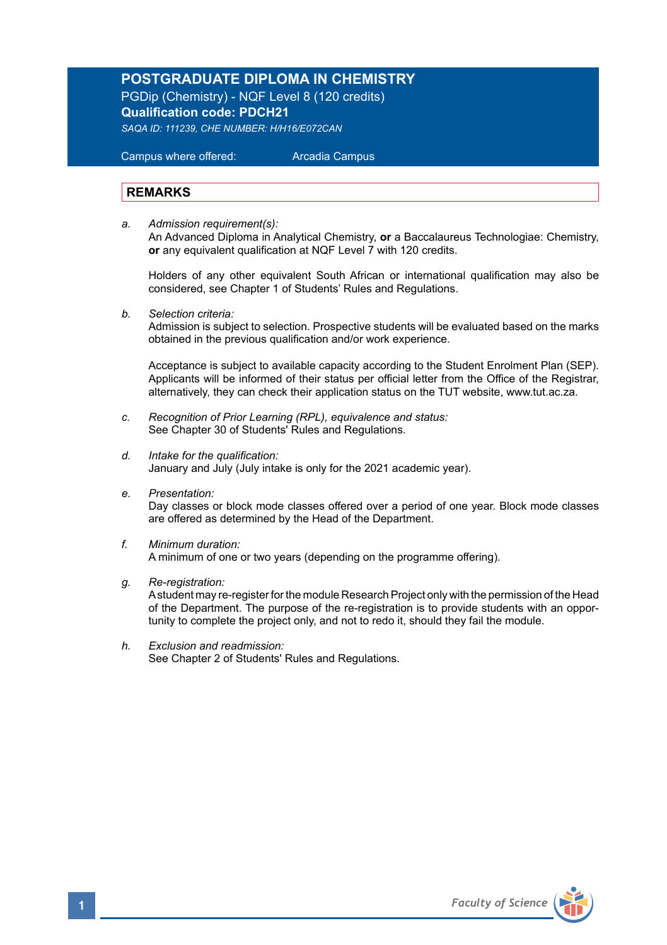# **POSTGRADUATE DIPLOMA IN CHEMISTRY**

PGDip (Chemistry) - NQF Level 8 (120 credits) **Qualification code: PDCH21** 

*SAQA ID: 111239, CHE NUMBER: H/H16/E072CAN* 

 Campus where offered: Arcadia Campus

### **REMARKS**

*a. Admission requirement(s):*  An Advanced Diploma in Analytical Chemistry, **or** a Baccalaureus Technologiae: Chemistry, **or** any equivalent qualification at NQF Level 7 with 120 credits.

Holders of any other equivalent South African or international qualification may also be considered, see Chapter 1 of Students' Rules and Regulations.

*b. Selection criteria:*

Admission is subject to selection. Prospective students will be evaluated based on the marks obtained in the previous qualification and/or work experience.

Acceptance is subject to available capacity according to the Student Enrolment Plan (SEP). Applicants will be informed of their status per official letter from the Office of the Registrar, alternatively, they can check their application status on the TUT website, www.tut.ac.za.

- *c. Recognition of Prior Learning (RPL), equivalence and status:* See Chapter 30 of Students' Rules and Regulations.
- *d. Intake for the qualification:* January and July (July intake is only for the 2021 academic year).
- *e. Presentation:*

Day classes or block mode classes offered over a period of one year. Block mode classes are offered as determined by the Head of the Department.

- *f. Minimum duration:* A minimum of one or two years (depending on the programme offering).
- *g. Re-registration:*

A student may re-register for the module Research Project only with the permission of the Head of the Department. The purpose of the re-registration is to provide students with an opportunity to complete the project only, and not to redo it, should they fail the module.

*h. Exclusion and readmission:* See Chapter 2 of Students' Rules and Regulations.

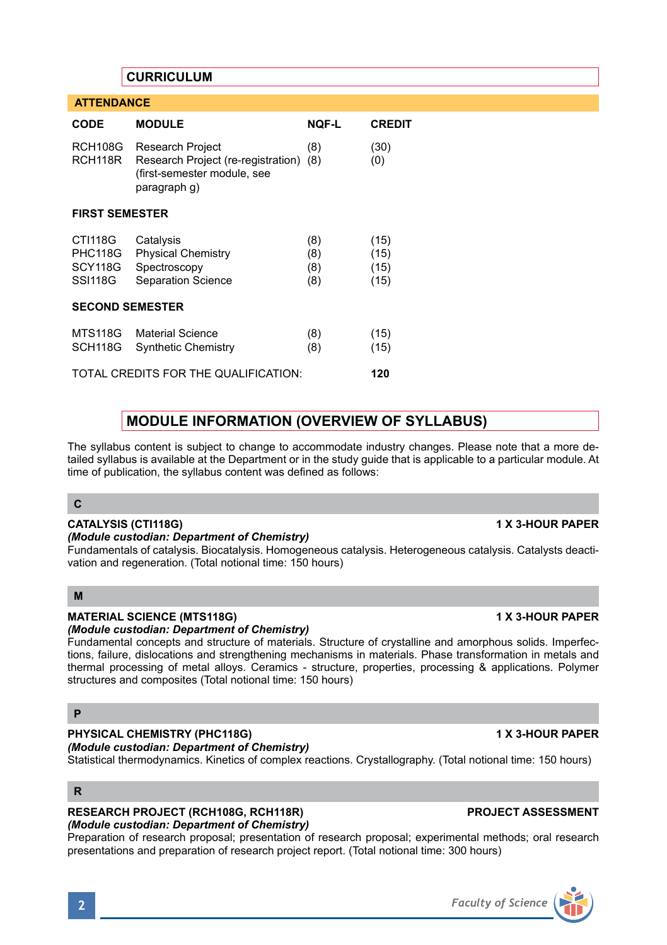# **CURRICULUM**

 **ATTENDANCE** 

| <b>CODE</b>                                            | <b>MODULE</b>                                                                                             | <b>NOF-L</b>             | <b>CREDIT</b>                |
|--------------------------------------------------------|-----------------------------------------------------------------------------------------------------------|--------------------------|------------------------------|
| <b>RCH108G</b><br>RCH118R                              | Research Project<br>Research Project (re-registration) (8)<br>(first-semester module, see<br>paragraph q) | (8)                      | (30)<br>(0)                  |
| <b>FIRST SEMESTER</b>                                  |                                                                                                           |                          |                              |
| CTI118G<br><b>PHC118G</b><br>SCY118G<br><b>SSI118G</b> | Catalysis<br><b>Physical Chemistry</b><br>Spectroscopy<br><b>Separation Science</b>                       | (8)<br>(8)<br>(8)<br>(8) | (15)<br>(15)<br>(15)<br>(15) |
| <b>SECOND SEMESTER</b>                                 |                                                                                                           |                          |                              |
| MTS118G<br>SCH118G                                     | <b>Material Science</b><br><b>Synthetic Chemistry</b>                                                     | (8)<br>(8)               | (15)<br>(15)                 |
| TOTAL CREDITS FOR THE QUALIFICATION:                   |                                                                                                           |                          | 120                          |

# **MODULE INFORMATION (OVERVIEW OF SYLLABUS)**

The syllabus content is subject to change to accommodate industry changes. Please note that a more detailed syllabus is available at the Department or in the study guide that is applicable to a particular module. At time of publication, the syllabus content was defined as follows:

#### **C**

### **CATALYSIS (CTI118G) 1 X 3-HOUR PAPER**

#### *(Module custodian: Department of Chemistry)*

Fundamentals of catalysis. Biocatalysis. Homogeneous catalysis. Heterogeneous catalysis. Catalysts deactivation and regeneration. (Total notional time: 150 hours)

#### **M**

# **MATERIAL SCIENCE (MTS118G) 1 X 3-HOUR PAPER**

# *(Module custodian: Department of Chemistry)*

Fundamental concepts and structure of materials. Structure of crystalline and amorphous solids. Imperfections, failure, dislocations and strengthening mechanisms in materials. Phase transformation in metals and thermal processing of metal alloys. Ceramics - structure, properties, processing & applications. Polymer structures and composites (Total notional time: 150 hours)

# **P**

## **PHYSICAL CHEMISTRY (PHC118G) 1 X 3-HOUR PAPER**

*(Module custodian: Department of Chemistry)*

Statistical thermodynamics. Kinetics of complex reactions. Crystallography. (Total notional time: 150 hours)

# **R**

#### **RESEARCH PROJECT (RCH108G, RCH118R) PROJECT ASSESSMENT** *(Module custodian: Department of Chemistry)*

Preparation of research proposal; presentation of research proposal; experimental methods; oral research presentations and preparation of research project report. (Total notional time: 300 hours)